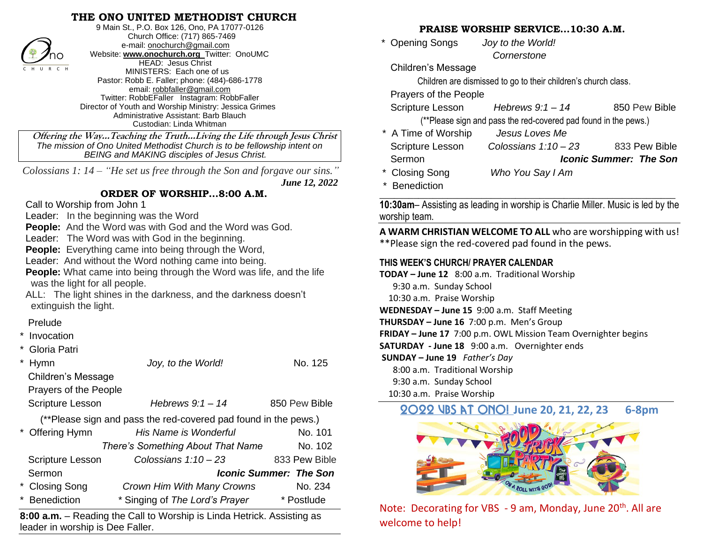### **THE ONO UNITED METHODIST CHURCH**



9 Main St., P.O. Box 126, Ono, PA 17077-0126 Church Office: (717) 865-7469 e-mail[: onochurch@gmail.com](mailto:onochurch@gmail.com) Website: **[www.onochurch.org](http://www.onochurch.org/)** Twitter: OnoUMC HEAD: Jesus Christ MINISTERS: Each one of us Pastor: Robb E. Faller; phone: (484)-686-1778 email: [robbfaller@gmail.com](mailto:robbfaller@gmail.com) Twitter: RobbEFaller Instagram: RobbFaller Director of Youth and Worship Ministry: Jessica Grimes Administrative Assistant: Barb Blauch Custodian: Linda Whitman

#### **ORDER OF WORSHIP…8:00 A.M.**

#### Prelude

| 'nο                                                                                                          | <b>WEDSITE:</b> WWW.ONOCNUTCH.Org I WITTER: ONOUML<br>HEAD: Jesus Christ     |                      |                                        |
|--------------------------------------------------------------------------------------------------------------|------------------------------------------------------------------------------|----------------------|----------------------------------------|
| H U R C H                                                                                                    | MINISTERS: Each one of us                                                    |                      | Children's Messa                       |
|                                                                                                              | Pastor: Robb E. Faller; phone: (484)-686-1778<br>email: robbfaller@gmail.com |                      | Children are                           |
| Twitter: RobbEFaller Instagram: RobbFaller                                                                   | Prayers of the Pe                                                            |                      |                                        |
| Director of Youth and Worship Ministry: Jessica Grimes                                                       | <b>Scripture Lesson</b>                                                      |                      |                                        |
|                                                                                                              | Administrative Assistant: Barb Blauch<br>Custodian: Linda Whitman            |                      | (**Please sig                          |
|                                                                                                              | Offering the WayTeaching the TruthLiving the Life through Jesus Christ       |                      | * A Time of Worsh                      |
| The mission of Ono United Methodist Church is to be fellowship intent on                                     | <b>Scripture Lesson</b>                                                      |                      |                                        |
| BEING and MAKING disciples of Jesus Christ.                                                                  | Sermon                                                                       |                      |                                        |
|                                                                                                              | Colossians 1: $14 -$ "He set us free through the Son and forgave our sins."  |                      |                                        |
|                                                                                                              | * Closing Song                                                               |                      |                                        |
|                                                                                                              | ORDER OF WORSHIP8:00 A.M.                                                    | <b>June 12, 2022</b> | * Benediction                          |
| Call to Worship from John 1                                                                                  |                                                                              | 10:30am-Assisting a  |                                        |
| Leader: In the beginning was the Word                                                                        | worship team.                                                                |                      |                                        |
| <b>People:</b> And the Word was with God and the Word was God.                                               | A WARM CHRISTIA                                                              |                      |                                        |
| Leader: The Word was with God in the beginning.                                                              | **Please sign the re                                                         |                      |                                        |
|                                                                                                              | <b>People:</b> Everything came into being through the Word,                  |                      |                                        |
| Leader: And without the Word nothing came into being.                                                        | THIS WEEK'S CHURC                                                            |                      |                                        |
| <b>People:</b> What came into being through the Word was life, and the life<br>was the light for all people. | TODAY - June 12 $8:0$                                                        |                      |                                        |
|                                                                                                              | 9:30 a.m. Sunday                                                             |                      |                                        |
| extinguish the light.                                                                                        | ALL: The light shines in the darkness, and the darkness doesn't              |                      | 10:30 a.m. Praise \                    |
|                                                                                                              |                                                                              |                      | WEDNESDAY - June                       |
| Prelude                                                                                                      |                                                                              |                      | THURSDAY - June 16                     |
| * Invocation                                                                                                 |                                                                              |                      | FRIDAY - June 17 $7$ :                 |
| Gloria Patri                                                                                                 |                                                                              |                      | <b>SATURDAY - June 18</b>              |
| Hymn                                                                                                         | Joy, to the World!                                                           | No. 125              | SUNDAY - June 19<br>8:00 a.m. Traditic |
| Children's Message                                                                                           |                                                                              |                      | 9:30 a.m. Sunday                       |
| Prayers of the People                                                                                        |                                                                              |                      | 10:30 a.m. Praise \                    |
| Scripture Lesson                                                                                             | Hebrews $9:1 - 14$                                                           | 850 Pew Bible        |                                        |
|                                                                                                              | (**Please sign and pass the red-covered pad found in the pews.)              |                      | 2022 VBS B                             |
| * Offering Hymn                                                                                              | His Name is Wonderful                                                        | No. 101              |                                        |
|                                                                                                              |                                                                              |                      |                                        |
|                                                                                                              | There's Something About That Name                                            | No. 102              |                                        |
| <b>Scripture Lesson</b>                                                                                      | Colossians 1:10 - 23                                                         | 833 Pew Bible        |                                        |
| Sermon                                                                                                       | <b>Iconic Summer: The Son</b>                                                |                      |                                        |
| <b>Closing Song</b>                                                                                          | Crown Him With Many Crowns                                                   | No. 234              |                                        |
| <b>Benediction</b>                                                                                           | * Singing of The Lord's Prayer                                               | * Postlude           |                                        |
| 8:00 a.m. – Reading the Call to Worship is Linda Hetrick. Assisting as                                       | <b>Note: Decorating</b>                                                      |                      |                                        |
| Jeader in worshin is Dee Faller                                                                              |                                                                              |                      | welcome to help!                       |

**8:00 a.m.** – Reading the Call to Worship is Linda Hetrick. Assisting as leader in worship is Dee Faller.

## **PRAISE WORSHIP SERVICE…10:30 A.M.**

 \* Opening Songs *Joy to the World! Cornerstone* 

Children's Message

Children are dismissed to go to their children's church class.

Prayers of the People

 Scripture Lesson *Hebrews 9:1 – 14* 850 Pew Bible (\*\*Please sign and pass the red-covered pad found in the pews.)

- \* A Time of Worship *Jesus Loves Me* Scripture Lesson *Colossians 1:10 – 23* 833 Pew Bible Sermon *Iconic Summer: The Son*
- \* Closing Song *Who You Say I Am*

**\_\_\_\_\_\_\_\_\_\_\_\_\_\_\_\_\_\_\_\_\_\_\_\_\_\_\_\_\_\_\_\_\_\_\_\_\_\_\_\_\_\_\_\_\_\_\_\_\_\_\_\_\_\_\_\_\_\_\_\_\_ 10:30am**– Assisting as leading in worship is Charlie Miller. Music is led by the worship team.

**A WARM CHRISTIAN WELCOME TO ALL** who are worshipping with us! \*\*Please sign the red-covered pad found in the pews.

#### **THIS WEEK'S CHURCH/ PRAYER CALENDAR**

**TODAY – June 12** 8:00 a.m. Traditional Worship 9:30 a.m. Sunday School 10:30 a.m. Praise Worship **WEDNESDAY – June 15** 9:00 a.m. Staff Meeting **THURSDAY – June 16** 7:00 p.m. Men's Group **FRIDAY – June 17** 7:00 p.m. OWL Mission Team Overnighter begins **SATURDAY - June 18** 9:00 a.m. Overnighter ends **SUNDAY – June 19** *Father's Day*  8:00 a.m. Traditional Worship 9:30 a.m. Sunday School

10:30 a.m. Praise Worship

# 2022 VBS at ONO! **June 20, 21, 22, 23 6-8pm**



Note: Decorating for VBS - 9 am, Monday, June 20<sup>th</sup>. All are